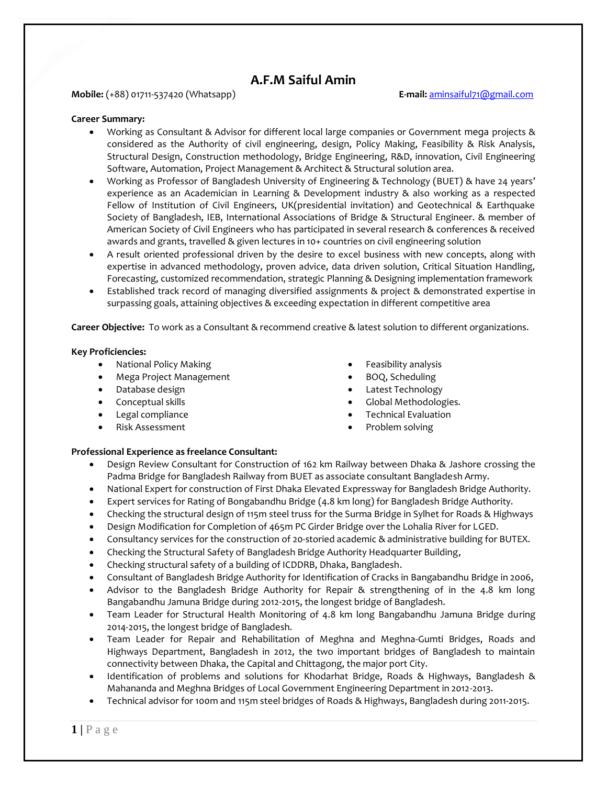# **A.F.M Saiful Amin**

### **Mobile:** (+88) 01711-537420 (Whatsapp) **E-mail:** [aminsaiful71@gmail.com](mailto:aminsaiful71@gmail.com)

#### **Career Summary:**

- Working as Consultant & Advisor for different local large companies or Government mega projects & considered as the Authority of civil engineering, design, Policy Making, Feasibility & Risk Analysis, Structural Design, Construction methodology, Bridge Engineering, R&D, innovation, Civil Engineering Software, Automation, Project Management & Architect & Structural solution area.
- Working as Professor of Bangladesh University of Engineering & Technology (BUET) & have 24 years' experience as an Academician in Learning & Development industry & also working as a respected Fellow of Institution of Civil Engineers, UK(presidential invitation) and Geotechnical & Earthquake Society of Bangladesh, IEB, International Associations of Bridge & Structural Engineer. & member of American Society of Civil Engineers who has participated in several research & conferences & received awards and grants, travelled & given lectures in 10+ countries on civil engineering solution
- A result oriented professional driven by the desire to excel business with new concepts, along with expertise in advanced methodology, proven advice, data driven solution, Critical Situation Handling, Forecasting, customized recommendation, strategic Planning & Designing implementation framework
- Established track record of managing diversified assignments & project & demonstrated expertise in surpassing goals, attaining objectives & exceeding expectation in different competitive area

**Career Objective:** To work as a Consultant & recommend creative & latest solution to different organizations.

#### **Key Proficiencies:**

- National Policy Making
- Mega Project Management
- Database design
- Conceptual skills
- Legal compliance
- Risk Assessment
- Feasibility analysis
- BOQ, Scheduling
- Latest Technology
- Global Methodologies.
- Technical Evaluation
- Problem solving

### **Professional Experience as freelance Consultant:**

- Design Review Consultant for Construction of 162 km Railway between Dhaka & Jashore crossing the Padma Bridge for Bangladesh Railway from BUET as associate consultant Bangladesh Army.
- National Expert for construction of First Dhaka Elevated Expressway for Bangladesh Bridge Authority.
- Expert services for Rating of Bongabandhu Bridge (4.8 km long) for Bangladesh Bridge Authority.
- Checking the structural design of 115m steel truss for the Surma Bridge in Sylhet for Roads & Highways
- Design Modification for Completion of 465m PC Girder Bridge over the Lohalia River for LGED.
- Consultancy services for the construction of 20-storied academic & administrative building for BUTEX.
- Checking the Structural Safety of Bangladesh Bridge Authority Headquarter Building,
- Checking structural safety of a building of ICDDRB, Dhaka, Bangladesh.
- Consultant of Bangladesh Bridge Authority for Identification of Cracks in Bangabandhu Bridge in 2006,
- Advisor to the Bangladesh Bridge Authority for Repair & strengthening of in the 4.8 km long Bangabandhu Jamuna Bridge during 2012-2015, the longest bridge of Bangladesh.
- Team Leader for Structural Health Monitoring of 4.8 km long Bangabandhu Jamuna Bridge during 2014-2015, the longest bridge of Bangladesh.
- Team Leader for Repair and Rehabilitation of Meghna and Meghna-Gumti Bridges, Roads and Highways Department, Bangladesh in 2012, the two important bridges of Bangladesh to maintain connectivity between Dhaka, the Capital and Chittagong, the major port City.
- Identification of problems and solutions for Khodarhat Bridge, Roads & Highways, Bangladesh & Mahananda and Meghna Bridges of Local Government Engineering Department in 2012-2013.
- Technical advisor for 100m and 115m steel bridges of Roads & Highways, Bangladesh during 2011-2015.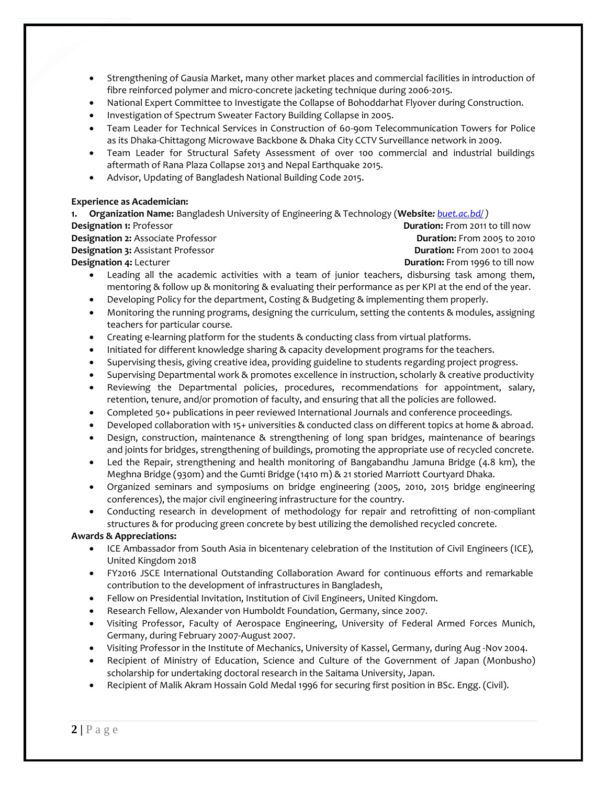- Strengthening of Gausia Market, many other market places and commercial facilities in introduction of fibre reinforced polymer and micro-concrete jacketing technique during 2006-2015.
- National Expert Committee to Investigate the Collapse of Bohoddarhat Flyover during Construction.
- Investigation of Spectrum Sweater Factory Building Collapse in 2005.
- Team Leader for Technical Services in Construction of 60-90m Telecommunication Towers for Police as its Dhaka-Chittagong Microwave Backbone & Dhaka City CCTV Surveillance network in 2009.
- Team Leader for Structural Safety Assessment of over 100 commercial and industrial buildings aftermath of Rana Plaza Collapse 2013 and Nepal Earthquake 2015.
- Advisor, Updating of Bangladesh National Building Code 2015.

#### **Experience as Academician:**

**1. Organization Name:** Bangladesh University of Engineering & Technology (**Website***: [buet.ac.bd/](https://www.buet.ac.bd/web/) )*

**Designation 2:** Associate Professor **Duration:** From 2005 to 2010 **Designation 3:** Assistant Professor **Duration: Duration:** From 2001 to 2004

**Designation 1:** Professor **Duration:** From 2011 to till now **Designation 4:** Lecturer **Duration:** From 1996 to till now

- Leading all the academic activities with a team of junior teachers, disbursing task among them, mentoring & follow up & monitoring & evaluating their performance as per KPI at the end of the year.
- Developing Policy for the department, Costing & Budgeting & implementing them properly.
- Monitoring the running programs, designing the curriculum, setting the contents & modules, assigning teachers for particular course.
- Creating e-learning platform for the students & conducting class from virtual platforms.
- Initiated for different knowledge sharing & capacity development programs for the teachers.
- Supervising thesis, giving creative idea, providing guideline to students regarding project progress.
- Supervising Departmental work & promotes excellence in instruction, scholarly & creative productivity
- Reviewing the Departmental policies, procedures, recommendations for appointment, salary, retention, tenure, and/or promotion of faculty, and ensuring that all the policies are followed.
- Completed 50+ publications in peer reviewed International Journals and conference proceedings.
- Developed collaboration with 15+ universities & conducted class on different topics at home & abroad.
- Design, construction, maintenance & strengthening of long span bridges, maintenance of bearings and joints for bridges, strengthening of buildings, promoting the appropriate use of recycled concrete.
- Led the Repair, strengthening and health monitoring of Bangabandhu Jamuna Bridge (4.8 km), the Meghna Bridge (930m) and the Gumti Bridge (1410 m) & 21 storied Marriott Courtyard Dhaka.
- Organized seminars and symposiums on bridge engineering (2005, 2010, 2015 bridge engineering conferences), the major civil engineering infrastructure for the country.
- Conducting research in development of methodology for repair and retrofitting of non-compliant structures & for producing green concrete by best utilizing the demolished recycled concrete.

## **Awards & Appreciations:**

- ICE Ambassador from South Asia in bicentenary celebration of the Institution of Civil Engineers (ICE), United Kingdom 2018
- FY2016 JSCE International Outstanding Collaboration Award for continuous efforts and remarkable contribution to the development of infrastructures in Bangladesh,
- Fellow on Presidential Invitation, Institution of Civil Engineers, United Kingdom.
- Research Fellow, Alexander von Humboldt Foundation, Germany, since 2007.
- Visiting Professor, Faculty of Aerospace Engineering, University of Federal Armed Forces Munich, Germany, during February 2007-August 2007.
- Visiting Professor in the Institute of Mechanics, University of Kassel, Germany, during Aug -Nov 2004.
- Recipient of Ministry of Education, Science and Culture of the Government of Japan (Monbusho) scholarship for undertaking doctoral research in the Saitama University, Japan.
- Recipient of Malik Akram Hossain Gold Medal 1996 for securing first position in BSc. Engg. (Civil).